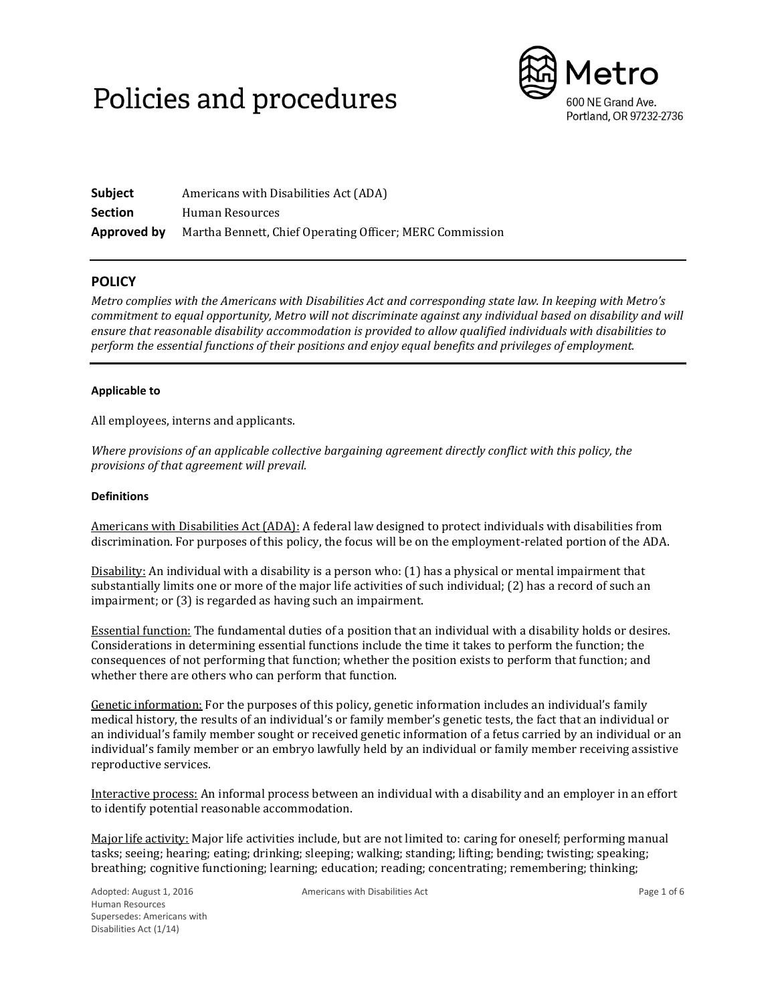# Policies and procedures



| <b>Subject</b> | Americans with Disabilities Act (ADA)                    |
|----------------|----------------------------------------------------------|
| <b>Section</b> | Human Resources                                          |
| Approved by    | Martha Bennett, Chief Operating Officer; MERC Commission |

# **POLICY**

*Metro complies with the Americans with Disabilities Act and corresponding state law. In keeping with Metro's commitment to equal opportunity, Metro will not discriminate against any individual based on disability and will ensure that reasonable disability accommodation is provided to allow qualified individuals with disabilities to perform the essential functions of their positions and enjoy equal benefits and privileges of employment.* 

# **Applicable to**

All employees, interns and applicants.

*Where provisions of an applicable collective bargaining agreement directly conflict with this policy, the provisions of that agreement will prevail.* 

# **Definitions**

Americans with Disabilities Act (ADA): A federal law designed to protect individuals with disabilities from discrimination. For purposes of this policy, the focus will be on the employment-related portion of the ADA.

Disability: An individual with a disability is a person who: (1) has a physical or mental impairment that substantially limits one or more of the major life activities of such individual; (2) has a record of such an impairment; or (3) is regarded as having such an impairment.

Essential function: The fundamental duties of a position that an individual with a disability holds or desires. Considerations in determining essential functions include the time it takes to perform the function; the consequences of not performing that function; whether the position exists to perform that function; and whether there are others who can perform that function.

Genetic information: For the purposes of this policy, genetic information includes an individual's family medical history, the results of an individual's or family member's genetic tests, the fact that an individual or an individual's family member sought or received genetic information of a fetus carried by an individual or an individual's family member or an embryo lawfully held by an individual or family member receiving assistive reproductive services.

Interactive process: An informal process between an individual with a disability and an employer in an effort to identify potential reasonable accommodation.

Major life activity: Major life activities include, but are not limited to: caring for oneself; performing manual tasks; seeing; hearing; eating; drinking; sleeping; walking; standing; lifting; bending; twisting; speaking; breathing; cognitive functioning; learning; education; reading; concentrating; remembering; thinking;

Americans with Disabilities Act **Page 1 of 6**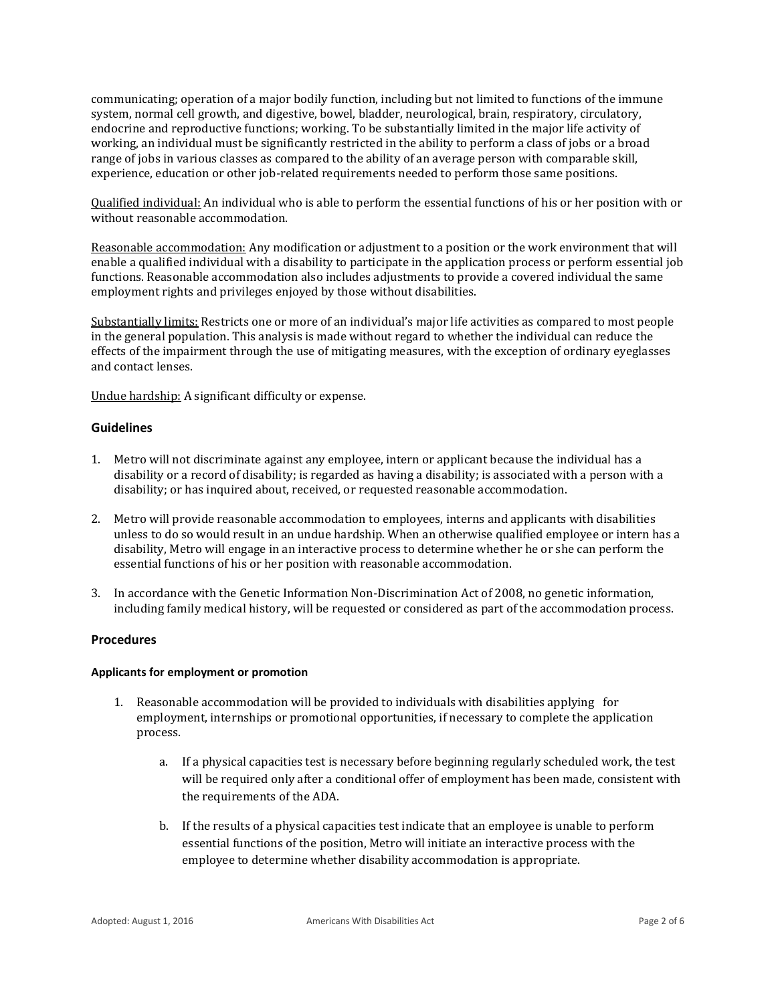communicating; operation of a major bodily function, including but not limited to functions of the immune system, normal cell growth, and digestive, bowel, bladder, neurological, brain, respiratory, circulatory, endocrine and reproductive functions; working. To be substantially limited in the major life activity of working, an individual must be significantly restricted in the ability to perform a class of jobs or a broad range of jobs in various classes as compared to the ability of an average person with comparable skill, experience, education or other job-related requirements needed to perform those same positions.

Qualified individual: An individual who is able to perform the essential functions of his or her position with or without reasonable accommodation.

Reasonable accommodation: Any modification or adjustment to a position or the work environment that will enable a qualified individual with a disability to participate in the application process or perform essential job functions. Reasonable accommodation also includes adjustments to provide a covered individual the same employment rights and privileges enjoyed by those without disabilities.

Substantially limits: Restricts one or more of an individual's major life activities as compared to most people in the general population. This analysis is made without regard to whether the individual can reduce the effects of the impairment through the use of mitigating measures, with the exception of ordinary eyeglasses and contact lenses.

Undue hardship: A significant difficulty or expense.

# **Guidelines**

- 1. Metro will not discriminate against any employee, intern or applicant because the individual has a disability or a record of disability; is regarded as having a disability; is associated with a person with a disability; or has inquired about, received, or requested reasonable accommodation.
- 2. Metro will provide reasonable accommodation to employees, interns and applicants with disabilities unless to do so would result in an undue hardship. When an otherwise qualified employee or intern has a disability, Metro will engage in an interactive process to determine whether he or she can perform the essential functions of his or her position with reasonable accommodation.
- 3. In accordance with the Genetic Information Non-Discrimination Act of 2008, no genetic information, including family medical history, will be requested or considered as part of the accommodation process.

# **Procedures**

# **Applicants for employment or promotion**

- 1. Reasonable accommodation will be provided to individuals with disabilities applying for employment, internships or promotional opportunities, if necessary to complete the application process.
	- a. If a physical capacities test is necessary before beginning regularly scheduled work, the test will be required only after a conditional offer of employment has been made, consistent with the requirements of the ADA.
	- b. If the results of a physical capacities test indicate that an employee is unable to perform essential functions of the position, Metro will initiate an interactive process with the employee to determine whether disability accommodation is appropriate.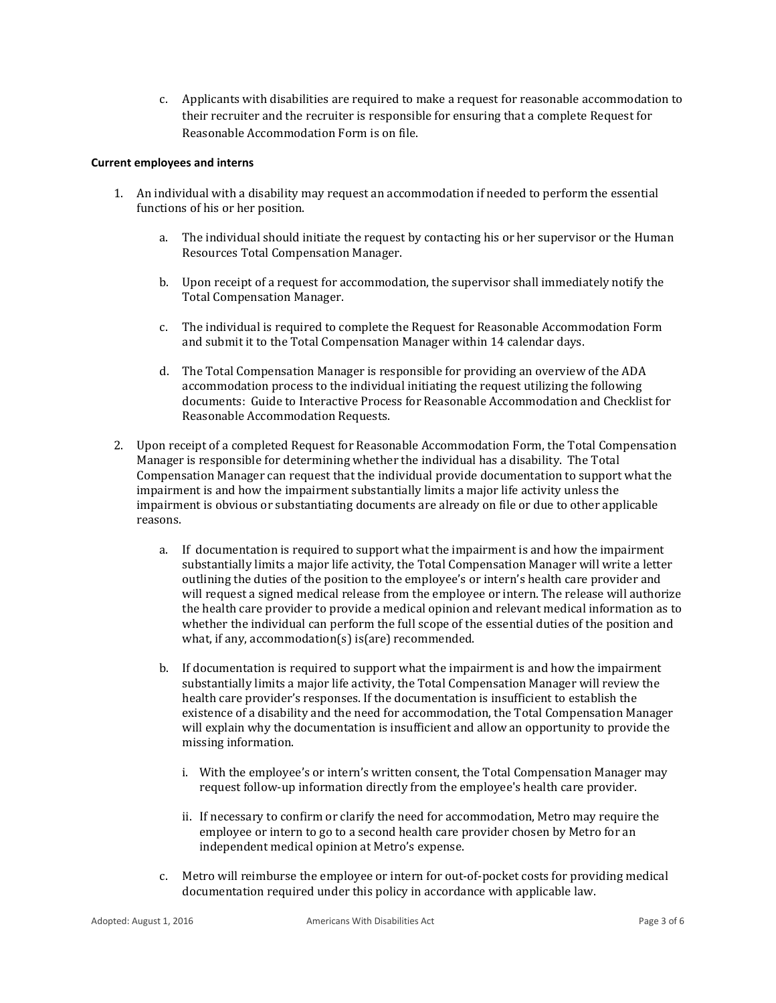c. Applicants with disabilities are required to make a request for reasonable accommodation to their recruiter and the recruiter is responsible for ensuring that a complete Request for Reasonable Accommodation Form is on file.

#### **Current employees and interns**

- 1. An individual with a disability may request an accommodation if needed to perform the essential functions of his or her position.
	- a. The individual should initiate the request by contacting his or her supervisor or the Human Resources Total Compensation Manager.
	- b. Upon receipt of a request for accommodation, the supervisor shall immediately notify the Total Compensation Manager.
	- c. The individual is required to complete the Request for Reasonable Accommodation Form and submit it to the Total Compensation Manager within 14 calendar days.
	- d. The Total Compensation Manager is responsible for providing an overview of the ADA accommodation process to the individual initiating the request utilizing the following documents: Guide to Interactive Process for Reasonable Accommodation and Checklist for Reasonable Accommodation Requests.
- 2. Upon receipt of a completed Request for Reasonable Accommodation Form, the Total Compensation Manager is responsible for determining whether the individual has a disability. The Total Compensation Manager can request that the individual provide documentation to support what the impairment is and how the impairment substantially limits a major life activity unless the impairment is obvious or substantiating documents are already on file or due to other applicable reasons.
	- a. If documentation is required to support what the impairment is and how the impairment substantially limits a major life activity, the Total Compensation Manager will write a letter outlining the duties of the position to the employee's or intern's health care provider and will request a signed medical release from the employee or intern. The release will authorize the health care provider to provide a medical opinion and relevant medical information as to whether the individual can perform the full scope of the essential duties of the position and what, if any, accommodation(s) is(are) recommended.
	- b. If documentation is required to support what the impairment is and how the impairment substantially limits a major life activity, the Total Compensation Manager will review the health care provider's responses. If the documentation is insufficient to establish the existence of a disability and the need for accommodation, the Total Compensation Manager will explain why the documentation is insufficient and allow an opportunity to provide the missing information.
		- i. With the employee's or intern's written consent, the Total Compensation Manager may request follow-up information directly from the employee's health care provider.
		- ii. If necessary to confirm or clarify the need for accommodation, Metro may require the employee or intern to go to a second health care provider chosen by Metro for an independent medical opinion at Metro's expense.
	- c. Metro will reimburse the employee or intern for out-of-pocket costs for providing medical documentation required under this policy in accordance with applicable law.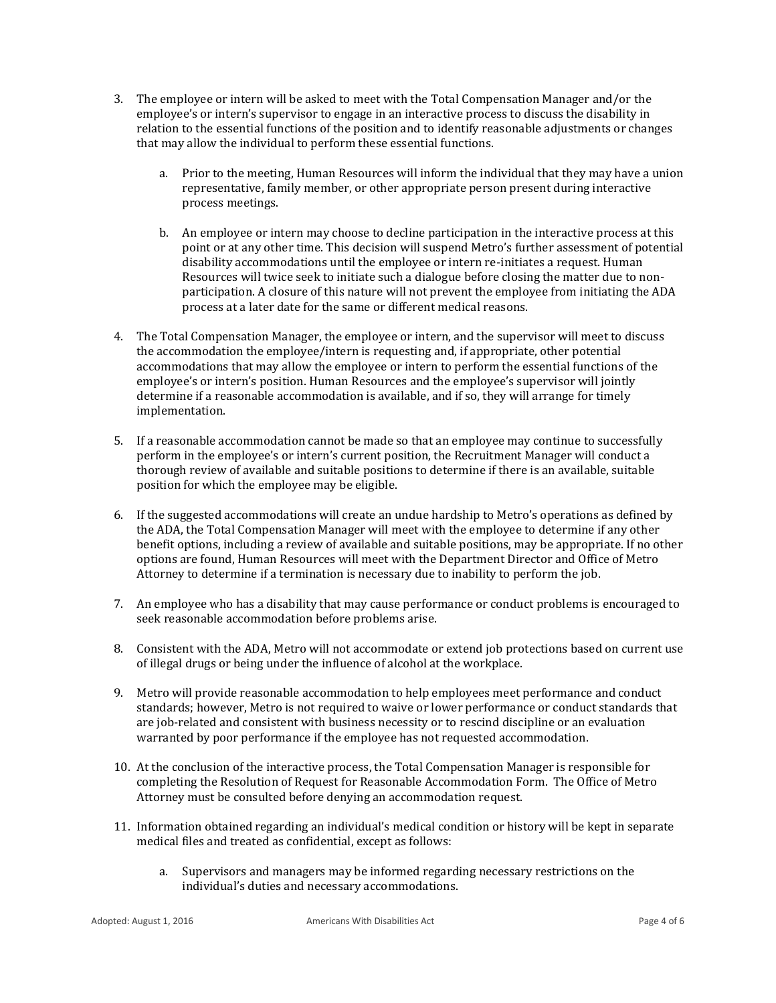- 3. The employee or intern will be asked to meet with the Total Compensation Manager and/or the employee's or intern's supervisor to engage in an interactive process to discuss the disability in relation to the essential functions of the position and to identify reasonable adjustments or changes that may allow the individual to perform these essential functions.
	- a. Prior to the meeting, Human Resources will inform the individual that they may have a union representative, family member, or other appropriate person present during interactive process meetings.
	- b. An employee or intern may choose to decline participation in the interactive process at this point or at any other time. This decision will suspend Metro's further assessment of potential disability accommodations until the employee or intern re-initiates a request. Human Resources will twice seek to initiate such a dialogue before closing the matter due to nonparticipation. A closure of this nature will not prevent the employee from initiating the ADA process at a later date for the same or different medical reasons.
- 4. The Total Compensation Manager, the employee or intern, and the supervisor will meet to discuss the accommodation the employee/intern is requesting and, if appropriate, other potential accommodations that may allow the employee or intern to perform the essential functions of the employee's or intern's position. Human Resources and the employee's supervisor will jointly determine if a reasonable accommodation is available, and if so, they will arrange for timely implementation.
- 5. If a reasonable accommodation cannot be made so that an employee may continue to successfully perform in the employee's or intern's current position, the Recruitment Manager will conduct a thorough review of available and suitable positions to determine if there is an available, suitable position for which the employee may be eligible.
- 6. If the suggested accommodations will create an undue hardship to Metro's operations as defined by the ADA, the Total Compensation Manager will meet with the employee to determine if any other benefit options, including a review of available and suitable positions, may be appropriate. If no other options are found, Human Resources will meet with the Department Director and Office of Metro Attorney to determine if a termination is necessary due to inability to perform the job.
- 7. An employee who has a disability that may cause performance or conduct problems is encouraged to seek reasonable accommodation before problems arise.
- 8. Consistent with the ADA, Metro will not accommodate or extend job protections based on current use of illegal drugs or being under the influence of alcohol at the workplace.
- 9. Metro will provide reasonable accommodation to help employees meet performance and conduct standards; however, Metro is not required to waive or lower performance or conduct standards that are job-related and consistent with business necessity or to rescind discipline or an evaluation warranted by poor performance if the employee has not requested accommodation.
- 10. At the conclusion of the interactive process, the Total Compensation Manager is responsible for completing the Resolution of Request for Reasonable Accommodation Form. The Office of Metro Attorney must be consulted before denying an accommodation request.
- 11. Information obtained regarding an individual's medical condition or history will be kept in separate medical files and treated as confidential, except as follows:
	- a. Supervisors and managers may be informed regarding necessary restrictions on the individual's duties and necessary accommodations.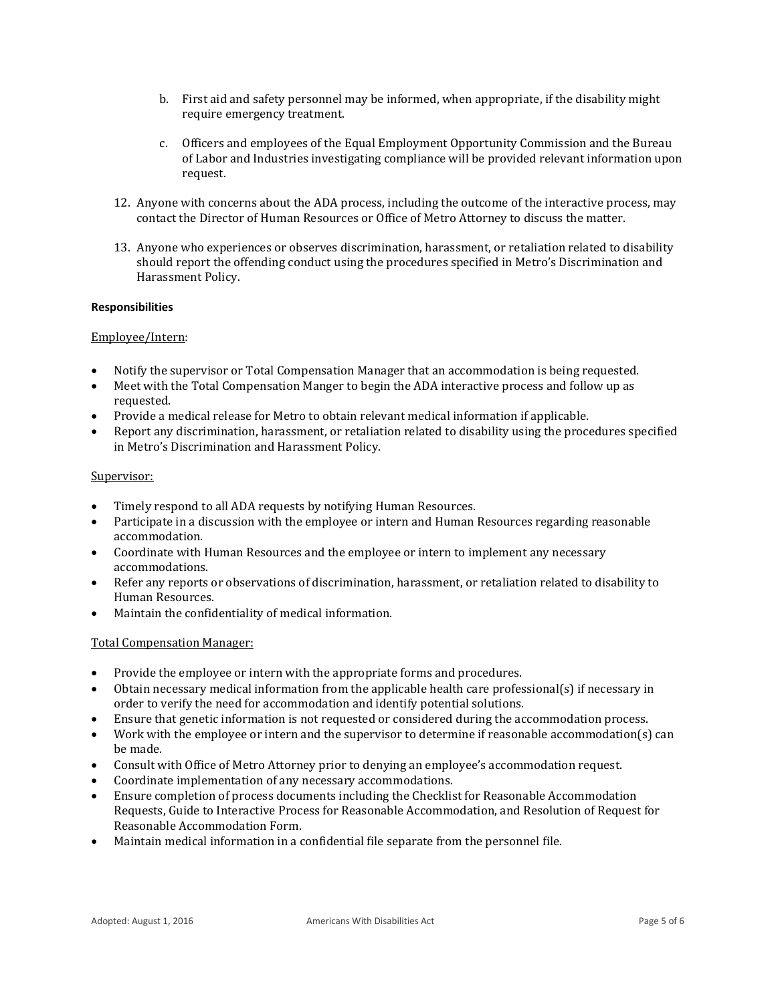- b. First aid and safety personnel may be informed, when appropriate, if the disability might require emergency treatment.
- c. Officers and employees of the Equal Employment Opportunity Commission and the Bureau of Labor and Industries investigating compliance will be provided relevant information upon request.
- 12. Anyone with concerns about the ADA process, including the outcome of the interactive process, may contact the Director of Human Resources or Office of Metro Attorney to discuss the matter.
- 13. Anyone who experiences or observes discrimination, harassment, or retaliation related to disability should report the offending conduct using the procedures specified in Metro's Discrimination and Harassment Policy.

#### **Responsibilities**

#### Employee/Intern:

- Notify the supervisor or Total Compensation Manager that an accommodation is being requested.
- Meet with the Total Compensation Manger to begin the ADA interactive process and follow up as requested.
- Provide a medical release for Metro to obtain relevant medical information if applicable.
- Report any discrimination, harassment, or retaliation related to disability using the procedures specified in Metro's Discrimination and Harassment Policy.

#### Supervisor:

- Timely respond to all ADA requests by notifying Human Resources.
- Participate in a discussion with the employee or intern and Human Resources regarding reasonable accommodation.
- Coordinate with Human Resources and the employee or intern to implement any necessary accommodations.
- Refer any reports or observations of discrimination, harassment, or retaliation related to disability to Human Resources.
- Maintain the confidentiality of medical information.

#### Total Compensation Manager:

- Provide the employee or intern with the appropriate forms and procedures.
- Obtain necessary medical information from the applicable health care professional(s) if necessary in order to verify the need for accommodation and identify potential solutions.
- Ensure that genetic information is not requested or considered during the accommodation process.
- Work with the employee or intern and the supervisor to determine if reasonable accommodation(s) can be made.
- Consult with Office of Metro Attorney prior to denying an employee's accommodation request.
- Coordinate implementation of any necessary accommodations.
- Ensure completion of process documents including the Checklist for Reasonable Accommodation Requests, Guide to Interactive Process for Reasonable Accommodation, and Resolution of Request for Reasonable Accommodation Form.
- Maintain medical information in a confidential file separate from the personnel file.